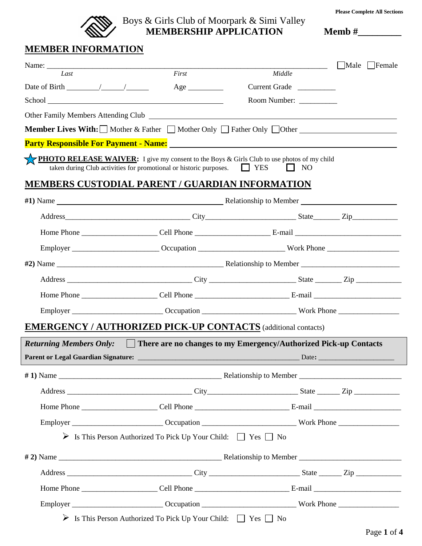

#### Boys & Girls Club of Moorpark & Simi Valley **EXAMPLE APPLICATION** Memb  $\#$

**Please Complete All Sections**

## **MEMBER INFORMATION**

|                                                                                                                                                                                                                                      |                                                                                                                                                                                                                                   |                         | Male   Female |  |  |  |
|--------------------------------------------------------------------------------------------------------------------------------------------------------------------------------------------------------------------------------------|-----------------------------------------------------------------------------------------------------------------------------------------------------------------------------------------------------------------------------------|-------------------------|---------------|--|--|--|
| Last                                                                                                                                                                                                                                 | First                                                                                                                                                                                                                             | Middle                  |               |  |  |  |
| Date of Birth $\frac{\sqrt{2}}{2}$                                                                                                                                                                                                   | Age                                                                                                                                                                                                                               | Current Grade           |               |  |  |  |
| School <u>and the second second second second second second second second second second second second second second second second second second second second second second second second second second second second second sec</u> |                                                                                                                                                                                                                                   | Room Number: __________ |               |  |  |  |
|                                                                                                                                                                                                                                      |                                                                                                                                                                                                                                   |                         |               |  |  |  |
|                                                                                                                                                                                                                                      | <b>Member Lives With:</b> Mother & Father   Mother Only   Father Only   Other   Other   Mother   Nother   Nother   Nother Dumper   General Motor   Nother   Nother   Nother   Nother   Nother   Nother   Nother   Nother   Nother |                         |               |  |  |  |
|                                                                                                                                                                                                                                      |                                                                                                                                                                                                                                   |                         |               |  |  |  |
|                                                                                                                                                                                                                                      | <b>PHOTO RELEASE WAIVER:</b> I give my consent to the Boys & Girls Club to use photos of my child<br>taken during Club activities for promotional or historic purposes. $\Box$ YES                                                | NO<br>$\mathbf{1}$      |               |  |  |  |
|                                                                                                                                                                                                                                      | MEMBERS CUSTODIAL PARENT / GUARDIAN INFORMATION                                                                                                                                                                                   |                         |               |  |  |  |
|                                                                                                                                                                                                                                      |                                                                                                                                                                                                                                   |                         |               |  |  |  |
|                                                                                                                                                                                                                                      |                                                                                                                                                                                                                                   |                         |               |  |  |  |
|                                                                                                                                                                                                                                      |                                                                                                                                                                                                                                   |                         |               |  |  |  |
|                                                                                                                                                                                                                                      |                                                                                                                                                                                                                                   |                         |               |  |  |  |
|                                                                                                                                                                                                                                      |                                                                                                                                                                                                                                   |                         |               |  |  |  |
|                                                                                                                                                                                                                                      |                                                                                                                                                                                                                                   |                         |               |  |  |  |
|                                                                                                                                                                                                                                      |                                                                                                                                                                                                                                   |                         |               |  |  |  |
|                                                                                                                                                                                                                                      |                                                                                                                                                                                                                                   |                         |               |  |  |  |
|                                                                                                                                                                                                                                      | <b>EMERGENCY / AUTHORIZED PICK-UP CONTACTS</b> (additional contacts)                                                                                                                                                              |                         |               |  |  |  |
|                                                                                                                                                                                                                                      | <i>Returning Members Only:</i> There are no changes to my Emergency/Authorized Pick-up Contacts                                                                                                                                   |                         |               |  |  |  |
|                                                                                                                                                                                                                                      |                                                                                                                                                                                                                                   |                         |               |  |  |  |
|                                                                                                                                                                                                                                      |                                                                                                                                                                                                                                   |                         |               |  |  |  |
|                                                                                                                                                                                                                                      |                                                                                                                                                                                                                                   |                         |               |  |  |  |
|                                                                                                                                                                                                                                      |                                                                                                                                                                                                                                   |                         |               |  |  |  |
|                                                                                                                                                                                                                                      |                                                                                                                                                                                                                                   |                         |               |  |  |  |
|                                                                                                                                                                                                                                      | > Is This Person Authorized To Pick Up Your Child: T Yes No                                                                                                                                                                       |                         |               |  |  |  |
|                                                                                                                                                                                                                                      |                                                                                                                                                                                                                                   |                         |               |  |  |  |
|                                                                                                                                                                                                                                      |                                                                                                                                                                                                                                   |                         |               |  |  |  |
|                                                                                                                                                                                                                                      |                                                                                                                                                                                                                                   |                         |               |  |  |  |
|                                                                                                                                                                                                                                      |                                                                                                                                                                                                                                   |                         |               |  |  |  |
|                                                                                                                                                                                                                                      |                                                                                                                                                                                                                                   |                         |               |  |  |  |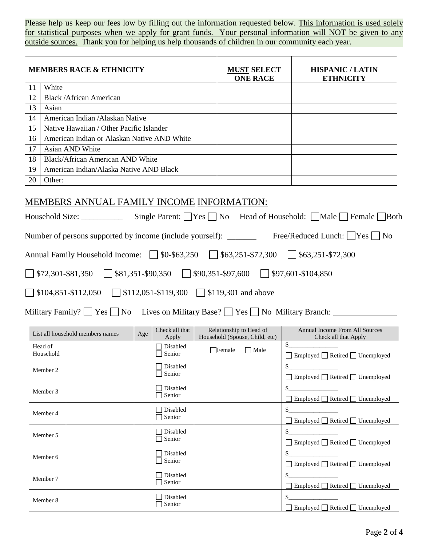Please help us keep our fees low by filling out the information requested below. This information is used solely for statistical purposes when we apply for grant funds. Your personal information will NOT be given to any outside sources. Thank you for helping us help thousands of children in our community each year.

|    | <b>MEMBERS RACE &amp; ETHNICITY</b>         | <b>MUST SELECT</b><br><b>ONE RACE</b> | <b>HISPANIC / LATIN</b><br><b>ETHNICITY</b> |
|----|---------------------------------------------|---------------------------------------|---------------------------------------------|
| 11 | White                                       |                                       |                                             |
| 12 | <b>Black /African American</b>              |                                       |                                             |
| 13 | Asian                                       |                                       |                                             |
| 14 | American Indian / Alaskan Native            |                                       |                                             |
| 15 | Native Hawaiian / Other Pacific Islander    |                                       |                                             |
| 16 | American Indian or Alaskan Native AND White |                                       |                                             |
| 17 | Asian AND White                             |                                       |                                             |
| 18 | <b>Black/African American AND White</b>     |                                       |                                             |
| 19 | American Indian/Alaska Native AND Black     |                                       |                                             |
| 20 | Other:                                      |                                       |                                             |

#### MEMBERS ANNUAL FAMILY INCOME INFORMATION:

|                                                                                                                                        |     |                                  |                                                           | Number of persons supported by income (include yourself): _______________________ Free/Reduced Lunch:   Yes   No |
|----------------------------------------------------------------------------------------------------------------------------------------|-----|----------------------------------|-----------------------------------------------------------|------------------------------------------------------------------------------------------------------------------|
|                                                                                                                                        |     |                                  |                                                           |                                                                                                                  |
| $\sqrt{\$72,301\text{-$}81,350}$ $\sqrt{\$81,351\text{-$}590,350}$ $\sqrt{\$90,351\text{-$}597,600}$ $\sqrt{\$97,601\text{-$}104,850}$ |     |                                  |                                                           |                                                                                                                  |
| $\Box$ \$104,851-\$112,050 $\Box$ \$112,051-\$119,300 $\Box$ \$119,301 and above                                                       |     |                                  |                                                           |                                                                                                                  |
| Military Family? $\Box$ Yes $\Box$ No Lives on Military Base? $\Box$ Yes $\Box$ No Military Branch:                                    |     |                                  |                                                           |                                                                                                                  |
| List all household members names                                                                                                       | Age | Check all that<br>Apply          | Relationship to Head of<br>Household (Spouse, Child, etc) | <b>Annual Income From All Sources</b><br>Check all that Apply                                                    |
| Head of<br>Household                                                                                                                   |     | $\Box$ Disabled<br>$\Box$ Senior | $\Box$ Female<br>$\Box$ Male                              | □ Employed □ Retired □ Unemployed                                                                                |
| Member 2                                                                                                                               |     | $\Box$ Disabled<br>□ Senior      |                                                           | □ Employed □ Retired □ Unemployed                                                                                |
| Member 3                                                                                                                               |     | Disabled<br>Senior               |                                                           | □ Employed □ Retired □ Unemployed                                                                                |
| $M = -1$                                                                                                                               |     | $\Box$ Disabled                  |                                                           | \$                                                                                                               |

| Member 4 | Disabled<br>Senior | $\Box$ Employed $\Box$ Retired $\Box$ Unemployed |
|----------|--------------------|--------------------------------------------------|
| Member 5 | Disabled<br>Senior | □ Employed □ Retired □ Unemployed                |
| Member 6 | Disabled<br>Senior | □ Employed □ Retired □ Unemployed                |
| Member 7 | Disabled<br>Senior | Employed Retired Unemployed                      |
| Member 8 | Disabled<br>Senior | Employed □ Retired □ Unemployed                  |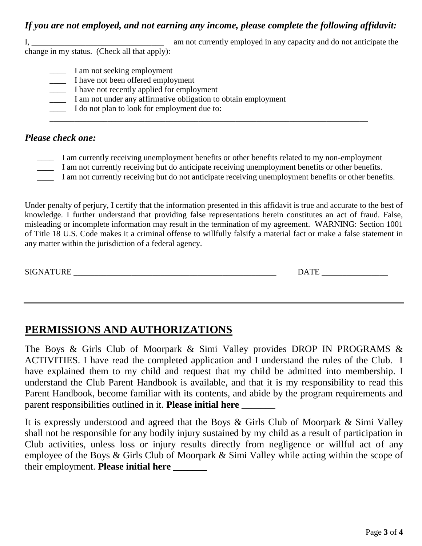#### *If you are not employed, and not earning any income, please complete the following affidavit:*

I, \_\_\_\_\_\_\_\_\_\_\_\_\_\_\_\_\_\_\_\_\_\_\_\_\_\_\_\_\_\_\_\_ am not currently employed in any capacity and do not anticipate the change in my status. (Check all that apply):

- - \_\_\_\_ I am not seeking employment
	- \_\_\_\_ I have not been offered employment
	- \_\_\_\_ I have not recently applied for employment
	- \_\_\_\_ I am not under any affirmative obligation to obtain employment
	- \_\_\_\_ I do not plan to look for employment due to: \_\_\_\_\_\_\_\_\_\_\_\_\_\_\_\_\_\_\_\_\_\_\_\_\_\_\_\_\_\_\_\_\_\_\_\_\_\_\_\_\_\_\_\_\_\_\_\_\_\_\_\_\_\_\_\_\_\_\_\_\_\_\_\_\_\_\_\_\_\_\_\_\_\_\_\_\_

### *Please check one:*

- I am currently receiving unemployment benefits or other benefits related to my non-employment
- \_\_\_\_ I am not currently receiving but do anticipate receiving unemployment benefits or other benefits.
- \_\_\_\_ I am not currently receiving but do not anticipate receiving unemployment benefits or other benefits.

Under penalty of perjury, I certify that the information presented in this affidavit is true and accurate to the best of knowledge. I further understand that providing false representations herein constitutes an act of fraud. False, misleading or incomplete information may result in the termination of my agreement. WARNING: Section 1001 of Title 18 U.S. Code makes it a criminal offense to willfully falsify a material fact or make a false statement in any matter within the jurisdiction of a federal agency.

SIGNATURE \_\_\_\_\_\_\_\_\_\_\_\_\_\_\_\_\_\_\_\_\_\_\_\_\_\_\_\_\_\_\_\_\_\_\_\_\_\_\_\_\_\_\_\_\_\_\_\_\_ DATE \_\_\_\_\_\_\_\_\_\_\_\_\_\_\_\_

# **PERMISSIONS AND AUTHORIZATIONS**

The Boys & Girls Club of Moorpark & Simi Valley provides DROP IN PROGRAMS & ACTIVITIES. I have read the completed application and I understand the rules of the Club. I have explained them to my child and request that my child be admitted into membership. I understand the Club Parent Handbook is available, and that it is my responsibility to read this Parent Handbook, become familiar with its contents, and abide by the program requirements and parent responsibilities outlined in it. **Please initial here \_\_\_\_\_\_\_**

It is expressly understood and agreed that the Boys & Girls Club of Moorpark & Simi Valley shall not be responsible for any bodily injury sustained by my child as a result of participation in Club activities, unless loss or injury results directly from negligence or willful act of any employee of the Boys & Girls Club of Moorpark & Simi Valley while acting within the scope of their employment. **Please initial here \_\_\_\_\_\_\_**